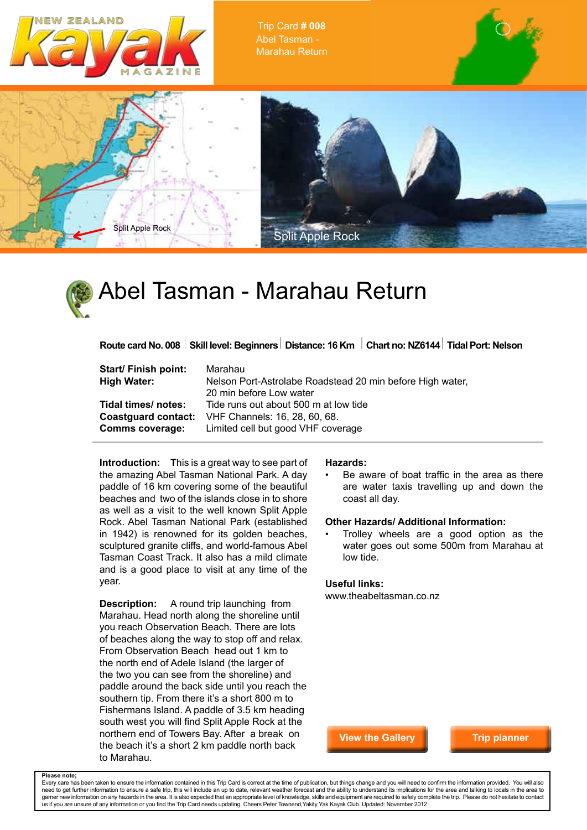

Trip Card **# 008** Abel Tasman - Marahau Return





Route card No. 008 Skill level: Beginners Distance: 16 Km Chart no: NZ6144 Tidal Port: Nelson

| Start/ Finish point:   | Marahau                                                   |
|------------------------|-----------------------------------------------------------|
| <b>High Water:</b>     | Nelson Port-Astrolabe Roadstead 20 min before High water, |
|                        | 20 min before Low water                                   |
| Tidal times/notes:     | Tide runs out about 500 m at low tide                     |
|                        | <b>Coastguard contact:</b> VHF Channels: 16, 28, 60, 68.  |
| <b>Comms coverage:</b> | Limited cell but good VHF coverage                        |

**Introduction: T**his is a great way to see part of the amazing Abel Tasman National Park. A day paddle of 16 km covering some of the beautiful beaches and two of the islands close in to shore as well as a visit to the well known Split Apple Rock. Abel Tasman National Park (established in 1942) is renowned for its golden beaches, sculptured granite cliffs, and world-famous Abel Tasman Coast Track. It also has a mild climate and is a good place to visit at any time of the year.

**Description:** A round trip launching from Marahau. Head north along the shoreline until you reach Observation Beach. There are lots of beaches along the way to stop off and relax. From Observation Beach head out 1 km to the north end of Adele Island (the larger of the two you can see from the shoreline) and paddle around the back side until you reach the southern tip. From there it's a short 800 m to Fishermans Island. A paddle of 3.5 km heading south west you will find Split Apple Rock at the northern end of Towers Bay. After a break on the beach it's a short 2 km paddle north back to Marahau.

## **Hazards:**

Be aware of boat traffic in the area as there are water taxis travelling up and down the coast all day.

## **Other Hazards/ Additional Information:**

• Trolley wheels are a good option as the water goes out some 500m from Marahau at low tide.

## **Useful links:**

www.theabeltasman.co.nz

**View the Gallery**

**Trip planner**

**Please note;**

Every care has been taken to ensure the information contained in this Trip Card is correct at the time of publication, but things change and you will need to confirm the information provided. You will also need to get further information to ensure a safe trip, this will include an up to date, relevant weather forecast and the ability to understand its implications for the area and talking to locals in the area to<br>garner new us if you are unsure of any information or you find the Trip Card needs updating. Cheers Peter Townend,Yakity Yak Kayak Club. Updated: November 2012